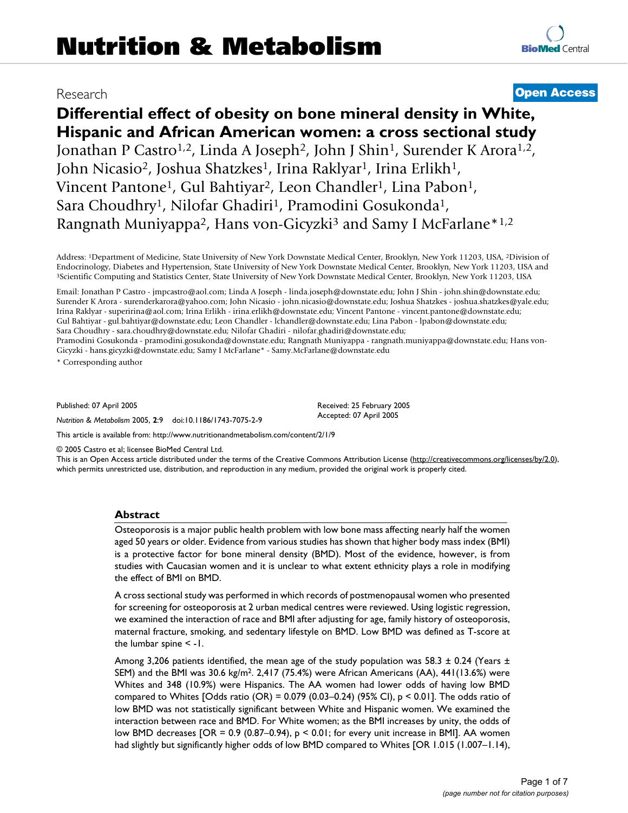# **Differential effect of obesity on bone mineral density in White, Hispanic and African American women: a cross sectional study** Jonathan P Castro<sup>1,2</sup>, Linda A Joseph<sup>2</sup>, John J Shin<sup>1</sup>, Surender K Arora<sup>1,2</sup>, John Nicasio<sup>2</sup>, Joshua Shatzkes<sup>1</sup>, Irina Raklyar<sup>1</sup>, Irina Erlikh<sup>1</sup>, Vincent Pantone<sup>1</sup>, Gul Bahtiyar<sup>2</sup>, Leon Chandler<sup>1</sup>, Lina Pabon<sup>1</sup>, Sara Choudhry<sup>1</sup>, Nilofar Ghadiri<sup>1</sup>, Pramodini Gosukonda<sup>1</sup>, Rangnath Muniyappa<sup>2</sup>, Hans von-Gicyzki<sup>3</sup> and Samy I McFarlane<sup>\*1,2</sup>

Address: 1Department of Medicine, State University of New York Downstate Medical Center, Brooklyn, New York 11203, USA, 2Division of Endocrinology, Diabetes and Hypertension, State University of New York Downstate Medical Center, Brooklyn, New York 11203, USA and 3Scientific Computing and Statistics Center, State University of New York Downstate Medical

Email: Jonathan P Castro - jmpcastro@aol.com; Linda A Joseph - linda.joseph@downstate.edu; John J Shin - john.shin@downstate.edu; Surender K Arora - surenderkarora@yahoo.com; John Nicasio - john.nicasio@downstate.edu; Joshua Shatzkes - joshua.shatzkes@yale.edu; Irina Raklyar - superirina@aol.com; Irina Erlikh - irina.erlikh@downstate.edu; Vincent Pantone - vincent.pantone@downstate.edu; Gul Bahtiyar - gul.bahtiyar@downstate.edu; Leon Chandler - lchandler@downstate.edu; Lina Pabon - lpabon@downstate.edu; Sara Choudhry - sara.choudhry@downstate.edu; Nilofar Ghadiri - nilofar.ghadiri@downstate.edu; Pramodini Gosukonda - pramodini.gosukonda@downstate.edu; Rangnath Muniyappa - rangnath.muniyappa@downstate.edu; Hans von-Gicyzki - hans.gicyzki@downstate.edu; Samy I McFarlane\* - Samy.McFarlane@downstate.edu

\* Corresponding author

Published: 07 April 2005

*Nutrition & Metabolism* 2005, **2**:9 doi:10.1186/1743-7075-2-9

[This article is available from: http://www.nutritionandmetabolism.com/content/2/1/9](http://www.nutritionandmetabolism.com/content/2/1/9)

© 2005 Castro et al; licensee BioMed Central Ltd.

This is an Open Access article distributed under the terms of the Creative Commons Attribution License [\(http://creativecommons.org/licenses/by/2.0\)](http://creativecommons.org/licenses/by/2.0), which permits unrestricted use, distribution, and reproduction in any medium, provided the original work is properly cited.

#### **Abstract**

Osteoporosis is a major public health problem with low bone mass affecting nearly half the women aged 50 years or older. Evidence from various studies has shown that higher body mass index (BMI) is a protective factor for bone mineral density (BMD). Most of the evidence, however, is from studies with Caucasian women and it is unclear to what extent ethnicity plays a role in modifying the effect of BMI on BMD.

A cross sectional study was performed in which records of postmenopausal women who presented for screening for osteoporosis at 2 urban medical centres were reviewed. Using logistic regression, we examined the interaction of race and BMI after adjusting for age, family history of osteoporosis, maternal fracture, smoking, and sedentary lifestyle on BMD. Low BMD was defined as T-score at the lumbar spine < -1.

Among 3,206 patients identified, the mean age of the study population was 58.3  $\pm$  0.24 (Years  $\pm$ SEM) and the BMI was 30.6 kg/m2. 2,417 (75.4%) were African Americans (AA), 441(13.6%) were Whites and 348 (10.9%) were Hispanics. The AA women had lower odds of having low BMD compared to Whites [Odds ratio (OR) =  $0.079$  (0.03–0.24) (95% CI), p < 0.01]. The odds ratio of low BMD was not statistically significant between White and Hispanic women. We examined the interaction between race and BMD. For White women; as the BMI increases by unity, the odds of low BMD decreases  $[OR = 0.9 (0.87–0.94), p < 0.01$ ; for every unit increase in BMI]. AA women had slightly but significantly higher odds of low BMD compared to Whites [OR 1.015 (1.007–1.14),

# Research **[Open Access](http://www.biomedcentral.com/info/about/charter/)**

Received: 25 February 2005 Accepted: 07 April 2005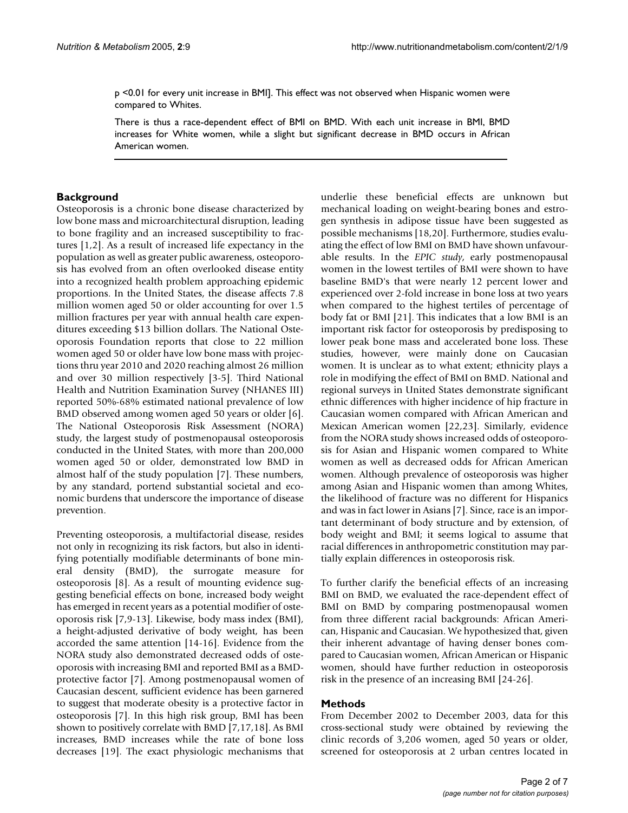p <0.01 for every unit increase in BMI]. This effect was not observed when Hispanic women were compared to Whites.

There is thus a race-dependent effect of BMI on BMD. With each unit increase in BMI, BMD increases for White women, while a slight but significant decrease in BMD occurs in African American women.

### **Background**

Osteoporosis is a chronic bone disease characterized by low bone mass and microarchitectural disruption, leading to bone fragility and an increased susceptibility to fractures [1,2]. As a result of increased life expectancy in the population as well as greater public awareness, osteoporosis has evolved from an often overlooked disease entity into a recognized health problem approaching epidemic proportions. In the United States, the disease affects 7.8 million women aged 50 or older accounting for over 1.5 million fractures per year with annual health care expenditures exceeding \$13 billion dollars. The National Osteoporosis Foundation reports that close to 22 million women aged 50 or older have low bone mass with projections thru year 2010 and 2020 reaching almost 26 million and over 30 million respectively [3-5]. Third National Health and Nutrition Examination Survey (NHANES III) reported 50%-68% estimated national prevalence of low BMD observed among women aged 50 years or older [6]. The National Osteoporosis Risk Assessment (NORA) study, the largest study of postmenopausal osteoporosis conducted in the United States, with more than 200,000 women aged 50 or older, demonstrated low BMD in almost half of the study population [7]. These numbers, by any standard, portend substantial societal and economic burdens that underscore the importance of disease prevention.

Preventing osteoporosis, a multifactorial disease, resides not only in recognizing its risk factors, but also in identifying potentially modifiable determinants of bone mineral density (BMD), the surrogate measure for osteoporosis [8]. As a result of mounting evidence suggesting beneficial effects on bone, increased body weight has emerged in recent years as a potential modifier of osteoporosis risk [7,9-13]. Likewise, body mass index (BMI), a height-adjusted derivative of body weight, has been accorded the same attention [14-16]. Evidence from the NORA study also demonstrated decreased odds of osteoporosis with increasing BMI and reported BMI as a BMDprotective factor [7]. Among postmenopausal women of Caucasian descent, sufficient evidence has been garnered to suggest that moderate obesity is a protective factor in osteoporosis [7]. In this high risk group, BMI has been shown to positively correlate with BMD [7,17,18]. As BMI increases, BMD increases while the rate of bone loss decreases [19]. The exact physiologic mechanisms that underlie these beneficial effects are unknown but mechanical loading on weight-bearing bones and estrogen synthesis in adipose tissue have been suggested as possible mechanisms [18,20]. Furthermore, studies evaluating the effect of low BMI on BMD have shown unfavourable results. In the *EPIC study*, early postmenopausal women in the lowest tertiles of BMI were shown to have baseline BMD's that were nearly 12 percent lower and experienced over 2-fold increase in bone loss at two years when compared to the highest tertiles of percentage of body fat or BMI [21]. This indicates that a low BMI is an important risk factor for osteoporosis by predisposing to lower peak bone mass and accelerated bone loss. These studies, however, were mainly done on Caucasian women. It is unclear as to what extent; ethnicity plays a role in modifying the effect of BMI on BMD. National and regional surveys in United States demonstrate significant ethnic differences with higher incidence of hip fracture in Caucasian women compared with African American and Mexican American women [22,23]. Similarly, evidence from the NORA study shows increased odds of osteoporosis for Asian and Hispanic women compared to White women as well as decreased odds for African American women. Although prevalence of osteoporosis was higher among Asian and Hispanic women than among Whites, the likelihood of fracture was no different for Hispanics and was in fact lower in Asians [7]. Since, race is an important determinant of body structure and by extension, of body weight and BMI; it seems logical to assume that racial differences in anthropometric constitution may partially explain differences in osteoporosis risk.

To further clarify the beneficial effects of an increasing BMI on BMD, we evaluated the race-dependent effect of BMI on BMD by comparing postmenopausal women from three different racial backgrounds: African American, Hispanic and Caucasian. We hypothesized that, given their inherent advantage of having denser bones compared to Caucasian women, African American or Hispanic women, should have further reduction in osteoporosis risk in the presence of an increasing BMI [24-26].

#### **Methods**

From December 2002 to December 2003, data for this cross-sectional study were obtained by reviewing the clinic records of 3,206 women, aged 50 years or older, screened for osteoporosis at 2 urban centres located in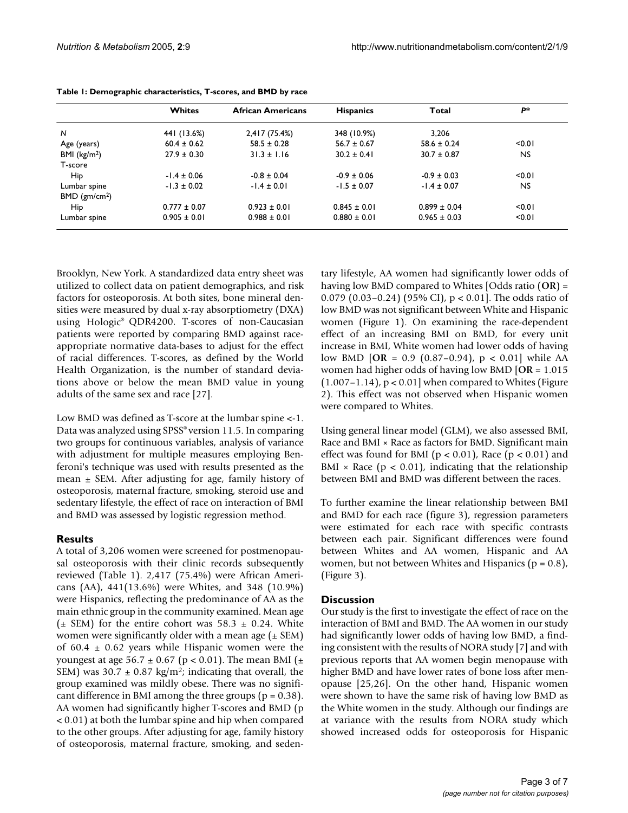|                             | Whites           | <b>African Americans</b> | <b>Hispanics</b> | Total            | р*        |
|-----------------------------|------------------|--------------------------|------------------|------------------|-----------|
| N                           | 441 (13.6%)      | 2,417 (75.4%)            | 348 (10.9%)      | 3.206            |           |
| Age (years)                 | $60.4 \pm 0.62$  | $58.5 \pm 0.28$          | $56.7 \pm 0.67$  | $58.6 \pm 0.24$  | < 0.01    |
| BMI ( $kg/m2$ )             | $27.9 \pm 0.30$  | $31.3 \pm 1.16$          | $30.2 \pm 0.41$  | $30.7 \pm 0.87$  | NS.       |
| T-score                     |                  |                          |                  |                  |           |
| Hip                         | $-1.4 \pm 0.06$  | $-0.8 \pm 0.04$          | $-0.9 \pm 0.06$  | $-0.9 \pm 0.03$  | < 0.01    |
| Lumbar spine                | $-1.3 \pm 0.02$  | $-1.4 \pm 0.01$          | $-1.5 \pm 0.07$  | $-1.4 \pm 0.07$  | <b>NS</b> |
| $BMD$ (gm/cm <sup>2</sup> ) |                  |                          |                  |                  |           |
| Hip                         | $0.777 \pm 0.07$ | $0.923 \pm 0.01$         | $0.845 \pm 0.01$ | $0.899 \pm 0.04$ | < 0.01    |
| Lumbar spine                | $0.905 \pm 0.01$ | $0.988 \pm 0.01$         | $0.880 \pm 0.01$ | $0.965 \pm 0.03$ | < 0.01    |

|  |  |  | Table 1: Demographic characteristics, T-scores, and BMD by race |  |  |  |  |  |
|--|--|--|-----------------------------------------------------------------|--|--|--|--|--|
|--|--|--|-----------------------------------------------------------------|--|--|--|--|--|

Brooklyn, New York. A standardized data entry sheet was utilized to collect data on patient demographics, and risk factors for osteoporosis. At both sites, bone mineral densities were measured by dual x-ray absorptiometry (DXA) using Hologic® QDR4200. T-scores of non-Caucasian patients were reported by comparing BMD against raceappropriate normative data-bases to adjust for the effect of racial differences. T-scores, as defined by the World Health Organization, is the number of standard deviations above or below the mean BMD value in young adults of the same sex and race [27].

Low BMD was defined as T-score at the lumbar spine <-1. Data was analyzed using SPSS® version 11.5. In comparing two groups for continuous variables, analysis of variance with adjustment for multiple measures employing Benferoni's technique was used with results presented as the mean  $\pm$  SEM. After adjusting for age, family history of osteoporosis, maternal fracture, smoking, steroid use and sedentary lifestyle, the effect of race on interaction of BMI and BMD was assessed by logistic regression method.

### **Results**

A total of 3,206 women were screened for postmenopausal osteoporosis with their clinic records subsequently reviewed (Table 1). 2,417 (75.4%) were African Americans (AA), 441(13.6%) were Whites, and 348 (10.9%) were Hispanics, reflecting the predominance of AA as the main ethnic group in the community examined. Mean age ( $\pm$  SEM) for the entire cohort was 58.3  $\pm$  0.24. White women were significantly older with a mean age  $(\pm$  SEM) of 60.4  $\pm$  0.62 years while Hispanic women were the youngest at age 56.7  $\pm$  0.67 (p < 0.01). The mean BMI ( $\pm$ SEM) was  $30.7 \pm 0.87$  kg/m<sup>2</sup>; indicating that overall, the group examined was mildly obese. There was no significant difference in BMI among the three groups ( $p = 0.38$ ). AA women had significantly higher T-scores and BMD (p < 0.01) at both the lumbar spine and hip when compared to the other groups. After adjusting for age, family history of osteoporosis, maternal fracture, smoking, and sedentary lifestyle, AA women had significantly lower odds of having low BMD compared to Whites [Odds ratio (**OR**) = 0.079 (0.03–0.24) (95% CI), p < 0.01]. The odds ratio of low BMD was not significant between White and Hispanic women (Figure [1\)](#page-3-0). On examining the race-dependent effect of an increasing BMI on BMD, for every unit increase in BMI, White women had lower odds of having low BMD [**OR** = 0.9 (0.87–0.94), p < 0.01] while AA women had higher odds of having low BMD [**OR** = 1.015  $(1.007-1.14)$ ,  $p < 0.01$ ] when compared to Whites (Figure [2](#page-4-0)). This effect was not observed when Hispanic women were compared to Whites.

Using general linear model (GLM), we also assessed BMI, Race and BMI × Race as factors for BMD. Significant main effect was found for BMI ( $p < 0.01$ ), Race ( $p < 0.01$ ) and BMI  $\times$  Race ( $p < 0.01$ ), indicating that the relationship between BMI and BMD was different between the races.

To further examine the linear relationship between BMI and BMD for each race (figure [3](#page-5-0)), regression parameters were estimated for each race with specific contrasts between each pair. Significant differences were found between Whites and AA women, Hispanic and AA women, but not between Whites and Hispanics ( $p = 0.8$ ), (Figure [3\)](#page-5-0).

### **Discussion**

Our study is the first to investigate the effect of race on the interaction of BMI and BMD. The AA women in our study had significantly lower odds of having low BMD, a finding consistent with the results of NORA study [7] and with previous reports that AA women begin menopause with higher BMD and have lower rates of bone loss after menopause [25,26]. On the other hand, Hispanic women were shown to have the same risk of having low BMD as the White women in the study. Although our findings are at variance with the results from NORA study which showed increased odds for osteoporosis for Hispanic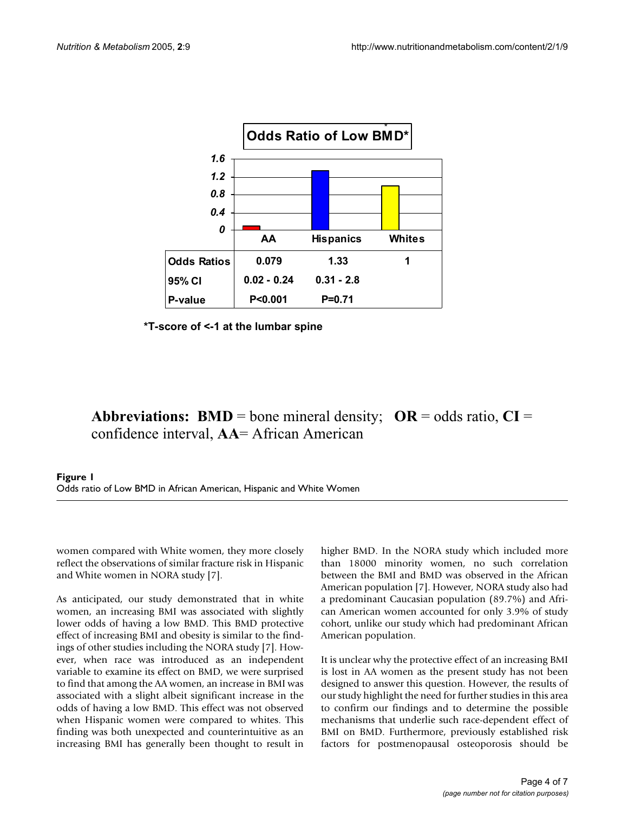<span id="page-3-0"></span>

**\*T-score of <-1 at the lumbar spine**

# **Abbreviations: BMD** = bone mineral density;  $OR = odds ratio, CI =$ confidence interval, **AA**= African American

### **Figure 1** Odds ratio of Low BMD in African American, Hispanic and White Women

women compared with White women, they more closely reflect the observations of similar fracture risk in Hispanic and White women in NORA study [7].

As anticipated, our study demonstrated that in white women, an increasing BMI was associated with slightly lower odds of having a low BMD. This BMD protective effect of increasing BMI and obesity is similar to the findings of other studies including the NORA study [7]. However, when race was introduced as an independent variable to examine its effect on BMD, we were surprised to find that among the AA women, an increase in BMI was associated with a slight albeit significant increase in the odds of having a low BMD. This effect was not observed when Hispanic women were compared to whites. This finding was both unexpected and counterintuitive as an increasing BMI has generally been thought to result in

higher BMD. In the NORA study which included more than 18000 minority women, no such correlation between the BMI and BMD was observed in the African American population [7]. However, NORA study also had a predominant Caucasian population (89.7%) and African American women accounted for only 3.9% of study cohort, unlike our study which had predominant African American population.

It is unclear why the protective effect of an increasing BMI is lost in AA women as the present study has not been designed to answer this question. However, the results of our study highlight the need for further studies in this area to confirm our findings and to determine the possible mechanisms that underlie such race-dependent effect of BMI on BMD. Furthermore, previously established risk factors for postmenopausal osteoporosis should be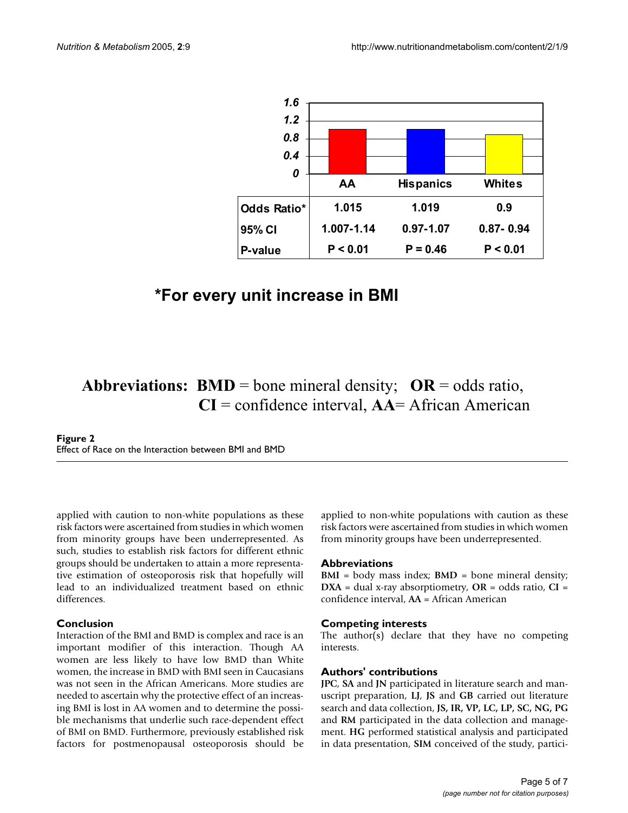<span id="page-4-0"></span>

# **\*For every unit increase in BMI**

# **Abbreviations: BMD** = bone mineral density;  $OR = odds ratio$ , **CI** = confidence interval, **AA**= African American

### **Figure 2** Effect of Race on the Interaction between BMI and BMD

applied with caution to non-white populations as these risk factors were ascertained from studies in which women from minority groups have been underrepresented. As such, studies to establish risk factors for different ethnic groups should be undertaken to attain a more representative estimation of osteoporosis risk that hopefully will lead to an individualized treatment based on ethnic differences.

## **Conclusion**

Interaction of the BMI and BMD is complex and race is an important modifier of this interaction. Though AA women are less likely to have low BMD than White women, the increase in BMD with BMI seen in Caucasians was not seen in the African Americans. More studies are needed to ascertain why the protective effect of an increasing BMI is lost in AA women and to determine the possible mechanisms that underlie such race-dependent effect of BMI on BMD. Furthermore, previously established risk factors for postmenopausal osteoporosis should be applied to non-white populations with caution as these risk factors were ascertained from studies in which women from minority groups have been underrepresented.

### **Abbreviations**

**BMI** = body mass index; **BMD** = bone mineral density; **DXA** = dual x-ray absorptiometry, **OR** = odds ratio, **CI** = confidence interval, **AA** = African American

## **Competing interests**

The author(s) declare that they have no competing interests.

## **Authors' contributions**

**JPC**, **SA** and **JN** participated in literature search and manuscript preparation, **LJ**, **JS** and **GB** carried out literature search and data collection, **JS, IR, VP, LC, LP, SC, NG, PG** and **RM** participated in the data collection and management. **HG** performed statistical analysis and participated in data presentation, **SIM** conceived of the study, partici-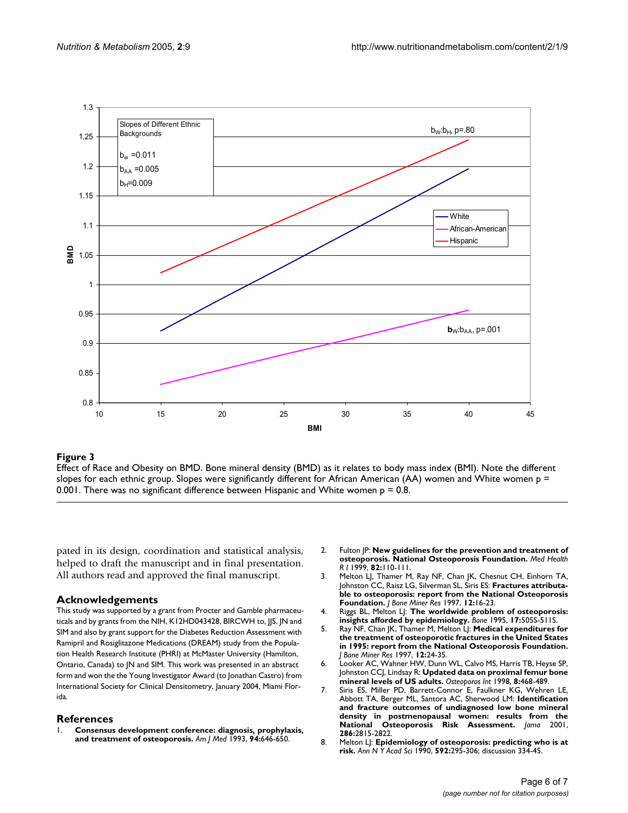<span id="page-5-0"></span>

### **Figure 3**

Effect of Race and Obesity on BMD. Bone mineral density (BMD) as it relates to body mass index (BMI). Note the different slopes for each ethnic group. Slopes were significantly different for African American (AA) women and White women p = 0.001. There was no significant difference between Hispanic and White women  $p = 0.8$ .

pated in its design, coordination and statistical analysis, helped to draft the manuscript and in final presentation. All authors read and approved the final manuscript.

### **Acknowledgements**

This study was supported by a grant from Procter and Gamble pharmaceuticals and by grants from the NIH, K12HD043428, BIRCWH to, JJS, JN and SIM and also by grant support for the Diabetes Reduction Assessment with Ramipril and Rosiglitazone Medications (DREAM) study from the Population Health Research Institute (PHRI) at McMaster University (Hamilton, Ontario, Canada) to JN and SIM. This work was presented in an abstract form and won the the Young Investigator Award (to Jonathan Castro) from International Society for Clinical Densitometry, January 2004, Miami Florida.

### **References**

1. **[Consensus development conference: diagnosis, prophylaxis,](http://www.ncbi.nlm.nih.gov/entrez/query.fcgi?cmd=Retrieve&db=PubMed&dopt=Abstract&list_uids=8506892) [and treatment of osteoporosis.](http://www.ncbi.nlm.nih.gov/entrez/query.fcgi?cmd=Retrieve&db=PubMed&dopt=Abstract&list_uids=8506892)** *Am J Med* 1993, **94:**646-650.

- 2. Fulton JP: **[New guidelines for the prevention and treatment of](http://www.ncbi.nlm.nih.gov/entrez/query.fcgi?cmd=Retrieve&db=PubMed&dopt=Abstract&list_uids=10193144) [osteoporosis. National Osteoporosis Foundation.](http://www.ncbi.nlm.nih.gov/entrez/query.fcgi?cmd=Retrieve&db=PubMed&dopt=Abstract&list_uids=10193144)** *Med Health R I* 1999, **82:**110-111.
- 3. Melton LJ, Thamer M, Ray NF, Chan JK, Chesnut CH, Einhorn TA, Johnston CC, Raisz LG, Silverman SL, Siris ES: **[Fractures attributa](http://www.ncbi.nlm.nih.gov/entrez/query.fcgi?cmd=Retrieve&db=PubMed&dopt=Abstract&list_uids=9240721)[ble to osteoporosis: report from the National Osteoporosis](http://www.ncbi.nlm.nih.gov/entrez/query.fcgi?cmd=Retrieve&db=PubMed&dopt=Abstract&list_uids=9240721) [Foundation.](http://www.ncbi.nlm.nih.gov/entrez/query.fcgi?cmd=Retrieve&db=PubMed&dopt=Abstract&list_uids=9240721)** *J Bone Miner Res* 1997, **12:**16-23.
- 4. Riggs BL, Melton LJ: **[The worldwide problem of osteoporosis:](http://www.ncbi.nlm.nih.gov/entrez/query.fcgi?cmd=Retrieve&db=PubMed&dopt=Abstract&list_uids=8573428) [insights afforded by epidemiology.](http://www.ncbi.nlm.nih.gov/entrez/query.fcgi?cmd=Retrieve&db=PubMed&dopt=Abstract&list_uids=8573428)** *Bone* 1995, **17:**505S-511S.
- 5. Ray NF, Chan JK, Thamer M, Melton LJ: **[Medical expenditures for](http://www.ncbi.nlm.nih.gov/entrez/query.fcgi?cmd=Retrieve&db=PubMed&dopt=Abstract&list_uids=9240722) the treatment of osteoporotic fractures in the United States [in 1995: report from the National Osteoporosis Foundation.](http://www.ncbi.nlm.nih.gov/entrez/query.fcgi?cmd=Retrieve&db=PubMed&dopt=Abstract&list_uids=9240722)** *J Bone Miner Res* 1997, **12:**24-35.
- 6. Looker AC, Wahner HW, Dunn WL, Calvo MS, Harris TB, Heyse SP, Johnston CCJ, Lindsay R: **[Updated data on proximal femur bone](http://www.ncbi.nlm.nih.gov/entrez/query.fcgi?cmd=Retrieve&db=PubMed&dopt=Abstract&list_uids=9850356) [mineral levels of US adults.](http://www.ncbi.nlm.nih.gov/entrez/query.fcgi?cmd=Retrieve&db=PubMed&dopt=Abstract&list_uids=9850356)** *Osteoporos Int* 1998, **8:**468-489.
- 7. Siris ES, Miller PD, Barrett-Connor E, Faulkner KG, Wehren LE, Abbott TA, Berger ML, Santora AC, Sherwood LM: **[Identification](http://www.ncbi.nlm.nih.gov/entrez/query.fcgi?cmd=Retrieve&db=PubMed&dopt=Abstract&list_uids=11735756) and fracture outcomes of undiagnosed low bone mineral [density in postmenopausal women: results from the](http://www.ncbi.nlm.nih.gov/entrez/query.fcgi?cmd=Retrieve&db=PubMed&dopt=Abstract&list_uids=11735756) [National Osteoporosis Risk Assessment.](http://www.ncbi.nlm.nih.gov/entrez/query.fcgi?cmd=Retrieve&db=PubMed&dopt=Abstract&list_uids=11735756)** *Jama* 2001, **286:**2815-2822.
- 8. Melton LJ: **[Epidemiology of osteoporosis: predicting who is at](http://www.ncbi.nlm.nih.gov/entrez/query.fcgi?cmd=Retrieve&db=PubMed&dopt=Abstract&list_uids=2197948) [risk.](http://www.ncbi.nlm.nih.gov/entrez/query.fcgi?cmd=Retrieve&db=PubMed&dopt=Abstract&list_uids=2197948)** *Ann N Y Acad Sci* 1990, **592:**295-306; discussion 334-45.